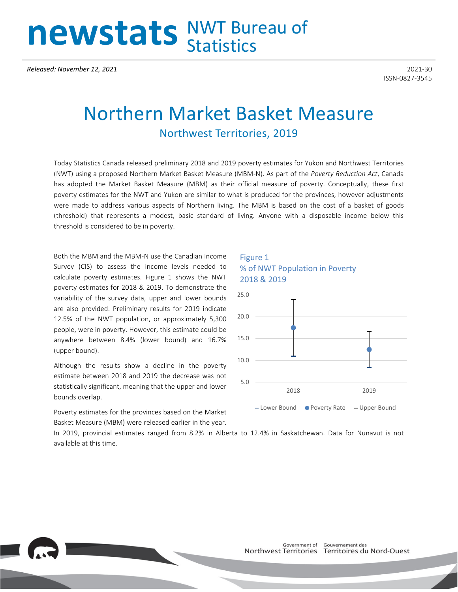# newstats NWT Bureau of

*Released: November 12, 2021* 2021-30

ISSN-0827-3545

## Northern Market Basket Measure Northwest Territories, 2019

Today Statistics Canada released preliminary 2018 and 2019 poverty estimates for Yukon and Northwest Territories (NWT) using a proposed Northern Market Basket Measure (MBM-N). As part of the *Poverty Reduction Act*, Canada has adopted the Market Basket Measure (MBM) as their official measure of poverty. Conceptually, these first poverty estimates for the NWT and Yukon are similar to what is produced for the provinces, however adjustments were made to address various aspects of Northern living. The MBM is based on the cost of a basket of goods (threshold) that represents a modest, basic standard of living. Anyone with a disposable income below this threshold is considered to be in poverty.

Both the MBM and the MBM-N use the Canadian Income Survey (CIS) to assess the income levels needed to calculate poverty estimates. Figure 1 shows the NWT poverty estimates for 2018 & 2019. To demonstrate the variability of the survey data, upper and lower bounds are also provided. Preliminary results for 2019 indicate 12.5% of the NWT population, or approximately 5,300 people, were in poverty. However, this estimate could be anywhere between 8.4% (lower bound) and 16.7% (upper bound).

Although the results show a decline in the poverty estimate between 2018 and 2019 the decrease was not statistically significant, meaning that the upper and lower bounds overlap.

Poverty estimates for the provinces based on the Market Basket Measure (MBM) were released earlier in the year.

#### Figure 1 % of NWT Population in Poverty 2018 & 2019



In 2019, provincial estimates ranged from 8.2% in Alberta to 12.4% in Saskatchewan. Data for Nunavut is not available at this time.